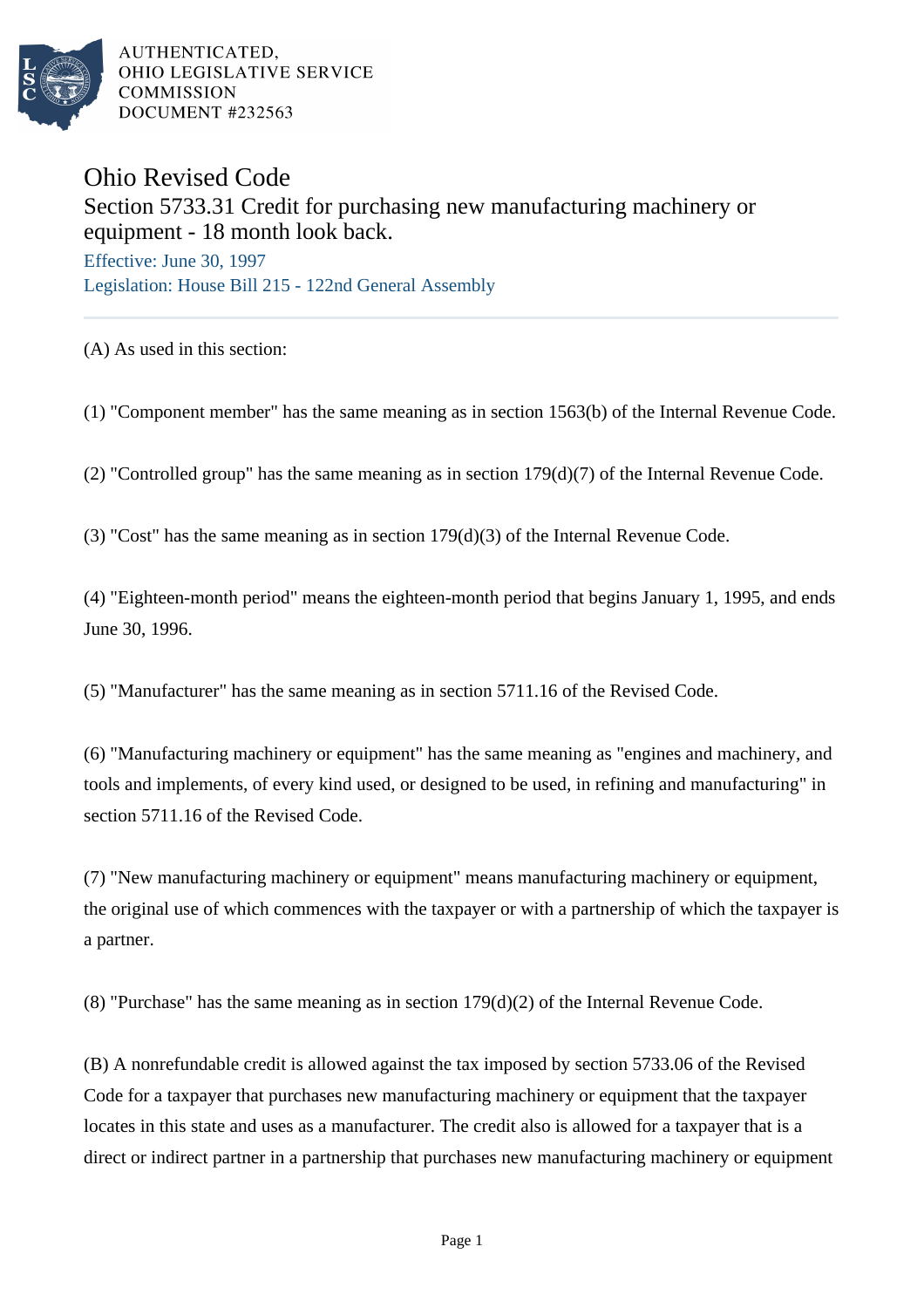

AUTHENTICATED. OHIO LEGISLATIVE SERVICE **COMMISSION** DOCUMENT #232563

## Ohio Revised Code Section 5733.31 Credit for purchasing new manufacturing machinery or equipment - 18 month look back.

Effective: June 30, 1997 Legislation: House Bill 215 - 122nd General Assembly

(A) As used in this section:

(1) "Component member" has the same meaning as in section 1563(b) of the Internal Revenue Code.

(2) "Controlled group" has the same meaning as in section 179(d)(7) of the Internal Revenue Code.

(3) "Cost" has the same meaning as in section 179(d)(3) of the Internal Revenue Code.

(4) "Eighteen-month period" means the eighteen-month period that begins January 1, 1995, and ends June 30, 1996.

(5) "Manufacturer" has the same meaning as in section 5711.16 of the Revised Code.

(6) "Manufacturing machinery or equipment" has the same meaning as "engines and machinery, and tools and implements, of every kind used, or designed to be used, in refining and manufacturing" in section 5711.16 of the Revised Code.

(7) "New manufacturing machinery or equipment" means manufacturing machinery or equipment, the original use of which commences with the taxpayer or with a partnership of which the taxpayer is a partner.

(8) "Purchase" has the same meaning as in section 179(d)(2) of the Internal Revenue Code.

(B) A nonrefundable credit is allowed against the tax imposed by section 5733.06 of the Revised Code for a taxpayer that purchases new manufacturing machinery or equipment that the taxpayer locates in this state and uses as a manufacturer. The credit also is allowed for a taxpayer that is a direct or indirect partner in a partnership that purchases new manufacturing machinery or equipment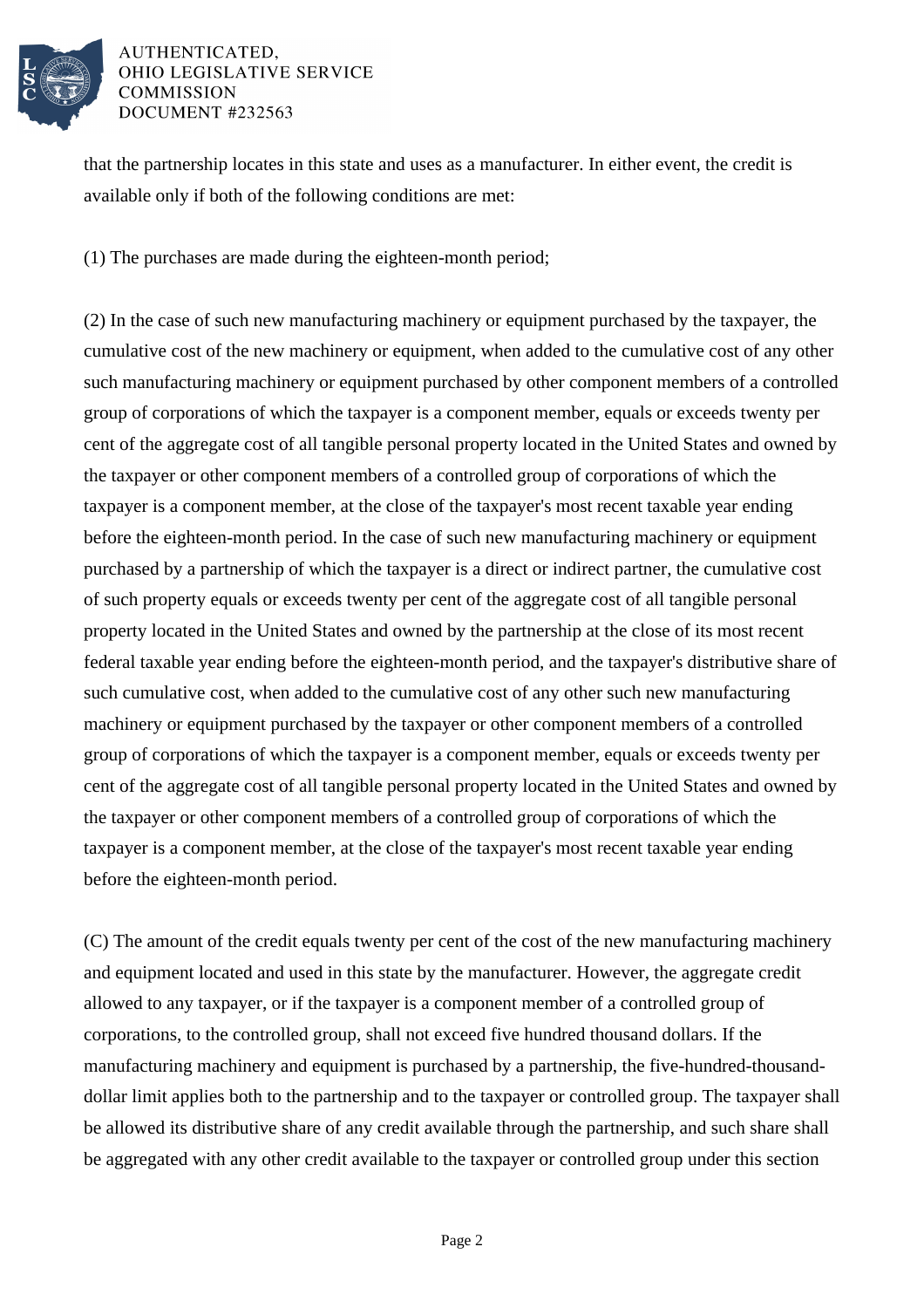

## AUTHENTICATED. **OHIO LEGISLATIVE SERVICE COMMISSION** DOCUMENT #232563

that the partnership locates in this state and uses as a manufacturer. In either event, the credit is available only if both of the following conditions are met:

(1) The purchases are made during the eighteen-month period;

(2) In the case of such new manufacturing machinery or equipment purchased by the taxpayer, the cumulative cost of the new machinery or equipment, when added to the cumulative cost of any other such manufacturing machinery or equipment purchased by other component members of a controlled group of corporations of which the taxpayer is a component member, equals or exceeds twenty per cent of the aggregate cost of all tangible personal property located in the United States and owned by the taxpayer or other component members of a controlled group of corporations of which the taxpayer is a component member, at the close of the taxpayer's most recent taxable year ending before the eighteen-month period. In the case of such new manufacturing machinery or equipment purchased by a partnership of which the taxpayer is a direct or indirect partner, the cumulative cost of such property equals or exceeds twenty per cent of the aggregate cost of all tangible personal property located in the United States and owned by the partnership at the close of its most recent federal taxable year ending before the eighteen-month period, and the taxpayer's distributive share of such cumulative cost, when added to the cumulative cost of any other such new manufacturing machinery or equipment purchased by the taxpayer or other component members of a controlled group of corporations of which the taxpayer is a component member, equals or exceeds twenty per cent of the aggregate cost of all tangible personal property located in the United States and owned by the taxpayer or other component members of a controlled group of corporations of which the taxpayer is a component member, at the close of the taxpayer's most recent taxable year ending before the eighteen-month period.

(C) The amount of the credit equals twenty per cent of the cost of the new manufacturing machinery and equipment located and used in this state by the manufacturer. However, the aggregate credit allowed to any taxpayer, or if the taxpayer is a component member of a controlled group of corporations, to the controlled group, shall not exceed five hundred thousand dollars. If the manufacturing machinery and equipment is purchased by a partnership, the five-hundred-thousanddollar limit applies both to the partnership and to the taxpayer or controlled group. The taxpayer shall be allowed its distributive share of any credit available through the partnership, and such share shall be aggregated with any other credit available to the taxpayer or controlled group under this section